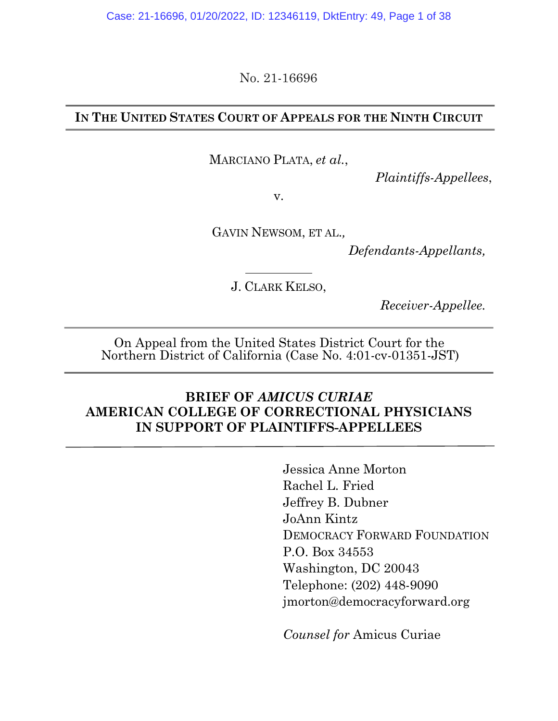Case: 21-16696, 01/20/2022, ID: 12346119, DktEntry: 49, Page 1 of 38

No. 21-16696

#### **IN THE UNITED STATES COURT OF APPEALS FOR THE NINTH CIRCUIT**

MARCIANO PLATA, *et al.*,

*Plaintiffs-Appellees*,

v.

GAVIN NEWSOM, ET AL.*,*

*Defendants-Appellants,*

J. CLARK KELSO,

*Receiver-Appellee.*

On Appeal from the United States District Court for the Northern District of California (Case No. 4:01-cv-01351-JST)

### **BRIEF OF** *AMICUS CURIAE* **AMERICAN COLLEGE OF CORRECTIONAL PHYSICIANS IN SUPPORT OF PLAINTIFFS-APPELLEES**

Jessica Anne Morton Rachel L. Fried Jeffrey B. Dubner JoAnn Kintz DEMOCRACY FORWARD FOUNDATION P.O. Box 34553 Washington, DC 20043 Telephone: (202) 448-9090 jmorton@democracyforward.org

*Counsel for* Amicus Curiae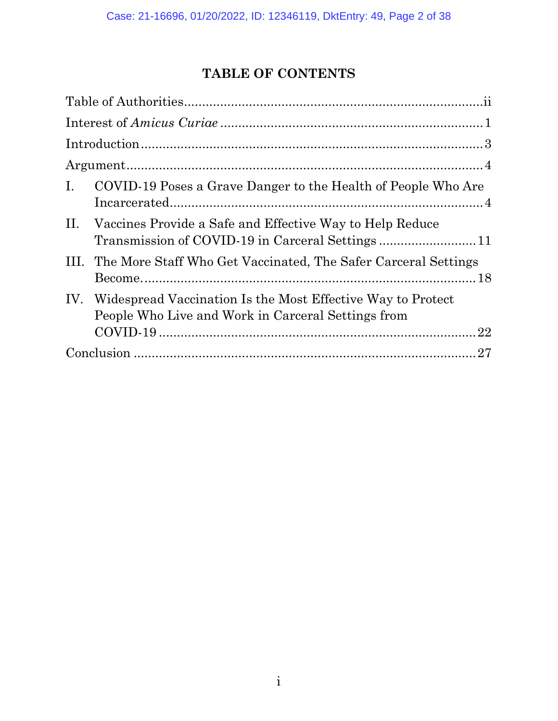# **TABLE OF CONTENTS**

| $\mathbf{I}$ .<br>COVID-19 Poses a Grave Danger to the Health of People Who Are                                                |  |
|--------------------------------------------------------------------------------------------------------------------------------|--|
| II.<br>Vaccines Provide a Safe and Effective Way to Help Reduce                                                                |  |
| The More Staff Who Get Vaccinated, The Safer Carceral Settings<br>Ш.                                                           |  |
| IV.<br>Widespread Vaccination Is the Most Effective Way to Protect<br>People Who Live and Work in Carceral Settings from<br>22 |  |
|                                                                                                                                |  |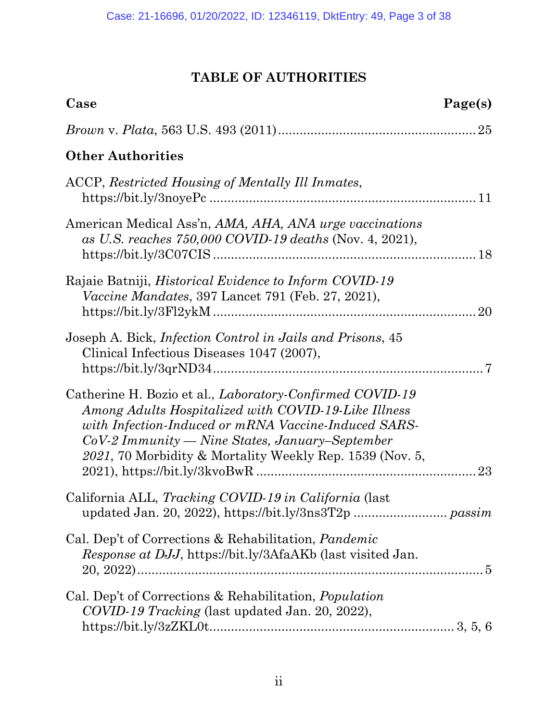# **TABLE OF AUTHORITIES**

| Case<br>Page(s)                                                                                                                                                                                                                                                                                                 |    |
|-----------------------------------------------------------------------------------------------------------------------------------------------------------------------------------------------------------------------------------------------------------------------------------------------------------------|----|
|                                                                                                                                                                                                                                                                                                                 |    |
| <b>Other Authorities</b>                                                                                                                                                                                                                                                                                        |    |
| ACCP, Restricted Housing of Mentally Ill Inmates,                                                                                                                                                                                                                                                               |    |
| American Medical Ass'n, AMA, AHA, ANA urge vaccinations<br>as U.S. reaches 750,000 COVID-19 deaths (Nov. 4, 2021),                                                                                                                                                                                              |    |
| Rajaie Batniji, <i>Historical Evidence to Inform COVID-19</i><br><i>Vaccine Mandates, 397 Lancet 791 (Feb. 27, 2021),</i>                                                                                                                                                                                       | 20 |
| Joseph A. Bick, <i>Infection Control in Jails and Prisons</i> , 45<br>Clinical Infectious Diseases 1047 (2007),                                                                                                                                                                                                 |    |
| Catherine H. Bozio et al., <i>Laboratory-Confirmed COVID-19</i><br>Among Adults Hospitalized with COVID-19-Like Illness<br>with Infection-Induced or mRNA Vaccine-Induced SARS-<br>$CoV-2\,Im\,matrix \rightarrow Nine\,States,\,January-September$<br>2021, 70 Morbidity & Mortality Weekly Rep. 1539 (Nov. 5, | 23 |
| California ALL, Tracking COVID-19 in California (last                                                                                                                                                                                                                                                           |    |
| Cal. Dep't of Corrections & Rehabilitation, <i>Pandemic</i><br><i>Response at DJJ</i> , https://bit.ly/3AfaAKb (last visited Jan.                                                                                                                                                                               |    |
| Cal. Dep't of Corrections & Rehabilitation, <i>Population</i><br>COVID-19 Tracking (last updated Jan. 20, 2022),                                                                                                                                                                                                |    |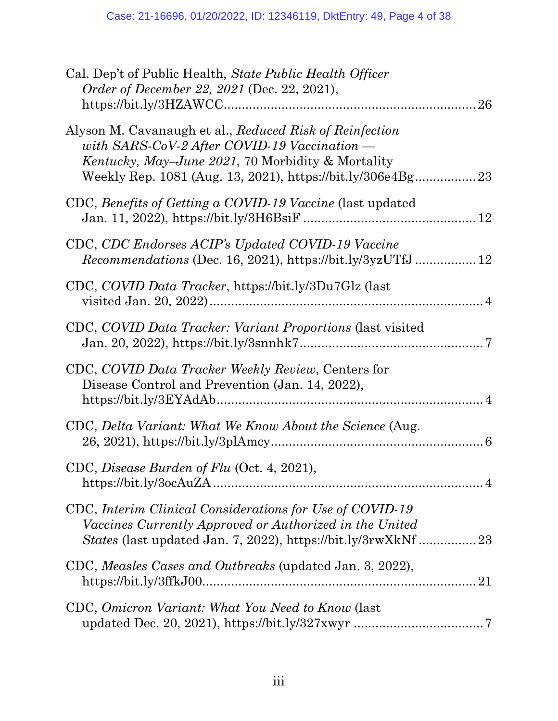| Cal. Dep't of Public Health, State Public Health Officer<br>Order of December 22, 2021 (Dec. 22, 2021),                                                                   |
|---------------------------------------------------------------------------------------------------------------------------------------------------------------------------|
| Alyson M. Cavanaugh et al., Reduced Risk of Reinfection<br>with SARS-CoV-2 After COVID-19 Vaccination $-$<br><i>Kentucky, May–June 2021, 70 Morbidity &amp; Mortality</i> |
| CDC, Benefits of Getting a COVID-19 Vaccine (last updated                                                                                                                 |
| CDC, CDC Endorses ACIP's Updated COVID-19 Vaccine                                                                                                                         |
| CDC, COVID Data Tracker, https://bit.ly/3Du7Glz (last                                                                                                                     |
| CDC, COVID Data Tracker: Variant Proportions (last visited                                                                                                                |
| CDC, COVID Data Tracker Weekly Review, Centers for<br>Disease Control and Prevention (Jan. 14, 2022),                                                                     |
| CDC, Delta Variant: What We Know About the Science (Aug.                                                                                                                  |
| CDC, Disease Burden of Flu (Oct. 4, 2021),                                                                                                                                |
| CDC, Interim Clinical Considerations for Use of COVID-19<br>Vaccines Currently Approved or Authorized in the United                                                       |
| CDC, Measles Cases and Outbreaks (updated Jan. 3, 2022),<br>$https://bit.ly/3ffkJ0021$                                                                                    |
| CDC, Omicron Variant: What You Need to Know (last                                                                                                                         |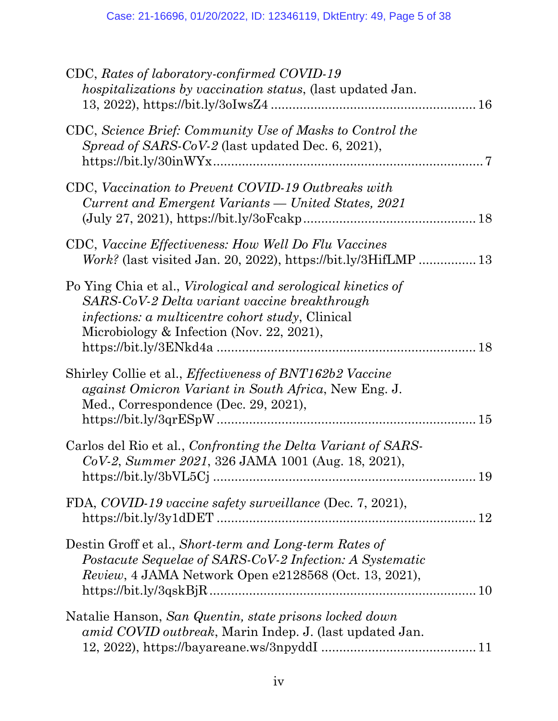| CDC, Rates of laboratory-confirmed COVID-19<br><i>hospitalizations by vaccination status, (last updated Jan.</i>                                                                                                       |  |
|------------------------------------------------------------------------------------------------------------------------------------------------------------------------------------------------------------------------|--|
| CDC, Science Brief: Community Use of Masks to Control the<br>Spread of SARS-CoV-2 (last updated Dec. 6, 2021),                                                                                                         |  |
| CDC, Vaccination to Prevent COVID-19 Outbreaks with<br>Current and Emergent Variants — United States, 2021<br>$(July 27, 2021), https://bit.ly/30Feakp1010"$                                                           |  |
| CDC, Vaccine Effectiveness: How Well Do Flu Vaccines<br>$Work?$ (last visited Jan. 20, 2022), https://bit.ly/3HifLMP  13                                                                                               |  |
| Po Ying Chia et al., Virological and serological kinetics of<br>SARS-CoV-2 Delta variant vaccine breakthrough<br><i>infections: a multicentre cohort study</i> , Clinical<br>Microbiology & Infection (Nov. 22, 2021), |  |
| Shirley Collie et al., <i>Effectiveness of BNT162b2 Vaccine</i><br>against Omicron Variant in South Africa, New Eng. J.<br>Med., Correspondence (Dec. 29, 2021),                                                       |  |
| Carlos del Rio et al., Confronting the Delta Variant of SARS-<br>CoV-2, Summer 2021, 326 JAMA 1001 (Aug. 18, 2021),                                                                                                    |  |
| FDA, COVID-19 vaccine safety surveillance (Dec. 7, 2021),                                                                                                                                                              |  |
| Destin Groff et al., Short-term and Long-term Rates of<br>Postacute Sequelae of SARS-CoV-2 Infection: A Systematic<br>Review, 4 JAMA Network Open e2128568 (Oct. 13, 2021),                                            |  |
| Natalie Hanson, San Quentin, state prisons locked down<br>amid COVID outbreak, Marin Indep. J. (last updated Jan.                                                                                                      |  |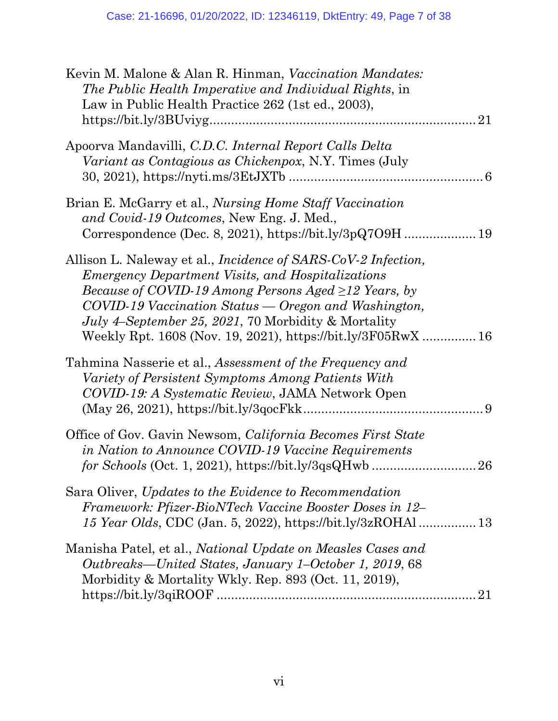| Kevin M. Malone & Alan R. Hinman, Vaccination Mandates:<br>The Public Health Imperative and Individual Rights, in<br>Law in Public Health Practice 262 (1st ed., 2003),<br>21                                                                                                                                                                                                                              |
|------------------------------------------------------------------------------------------------------------------------------------------------------------------------------------------------------------------------------------------------------------------------------------------------------------------------------------------------------------------------------------------------------------|
| Apoorva Mandavilli, C.D.C. Internal Report Calls Delta<br><i>Variant as Contagious as Chickenpox, N.Y. Times (July</i>                                                                                                                                                                                                                                                                                     |
| Brian E. McGarry et al., <i>Nursing Home Staff Vaccination</i><br>and Covid-19 Outcomes, New Eng. J. Med.,                                                                                                                                                                                                                                                                                                 |
| Allison L. Naleway et al., <i>Incidence of SARS-CoV-2 Infection</i> ,<br><i>Emergency Department Visits, and Hospitalizations</i><br><i>Because of COVID-19 Among Persons Aged <math>\geq</math>12 Years, by</i><br>COVID-19 Vaccination Status — Oregon and Washington,<br><i>July 4–September 25, 2021, 70 Morbidity &amp; Mortality</i><br>Weekly Rpt. 1608 (Nov. 19, 2021), https://bit.ly/3F05RwX  16 |
| Tahmina Nasserie et al., Assessment of the Frequency and<br>Variety of Persistent Symptoms Among Patients With<br>COVID-19: A Systematic Review, JAMA Network Open                                                                                                                                                                                                                                         |
| Office of Gov. Gavin Newsom, California Becomes First State<br>in Nation to Announce COVID-19 Vaccine Requirements                                                                                                                                                                                                                                                                                         |
| Sara Oliver, Updates to the Evidence to Recommendation<br>Framework: Pfizer-BioNTech Vaccine Booster Doses in 12-                                                                                                                                                                                                                                                                                          |
| Manisha Patel, et al., National Update on Measles Cases and<br>Outbreaks—United States, January 1–October 1, 2019, 68<br>Morbidity & Mortality Wkly. Rep. 893 (Oct. 11, 2019),<br>21                                                                                                                                                                                                                       |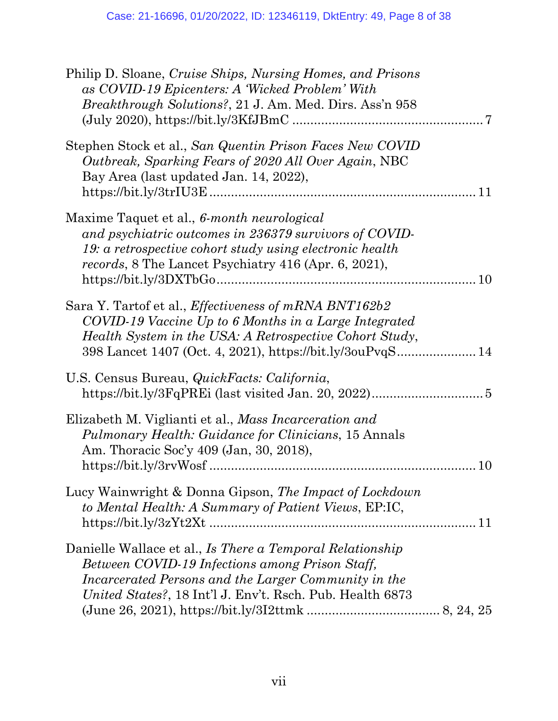| Philip D. Sloane, Cruise Ships, Nursing Homes, and Prisons<br>as COVID-19 Epicenters: A 'Wicked Problem' With<br><i>Breakthrough Solutions?, 21 J. Am. Med. Dirs. Ass'n 958</i>                                                        |
|----------------------------------------------------------------------------------------------------------------------------------------------------------------------------------------------------------------------------------------|
| Stephen Stock et al., San Quentin Prison Faces New COVID<br>Outbreak, Sparking Fears of 2020 All Over Again, NBC<br>Bay Area (last updated Jan. 14, 2022),                                                                             |
| Maxime Taquet et al., 6-month neurological<br>and psychiatric outcomes in 236379 survivors of COVID-<br>19: a retrospective cohort study using electronic health<br>records, 8 The Lancet Psychiatry 416 (Apr. 6, 2021),               |
| Sara Y. Tartof et al., Effectiveness of mRNA BNT162b2<br>COVID-19 Vaccine Up to 6 Months in a Large Integrated<br>Health System in the USA: A Retrospective Cohort Study,<br>398 Lancet 1407 (Oct. 4, 2021), https://bit.ly/3ouPvqS 14 |
| U.S. Census Bureau, QuickFacts: California,                                                                                                                                                                                            |
| Elizabeth M. Viglianti et al., Mass Incarceration and<br><i>Pulmonary Health: Guidance for Clinicians, 15 Annals</i><br>Am. Thoracic Soc'y 409 (Jan, 30, 2018),<br>10                                                                  |
| Lucy Wainwright & Donna Gipson, The Impact of Lockdown<br>to Mental Health: A Summary of Patient Views, EP:IC,                                                                                                                         |
| Danielle Wallace et al., Is There a Temporal Relationship<br>Between COVID-19 Infections among Prison Staff,<br>Incarcerated Persons and the Larger Community in the<br>United States?, 18 Int'l J. Env't. Rsch. Pub. Health 6873      |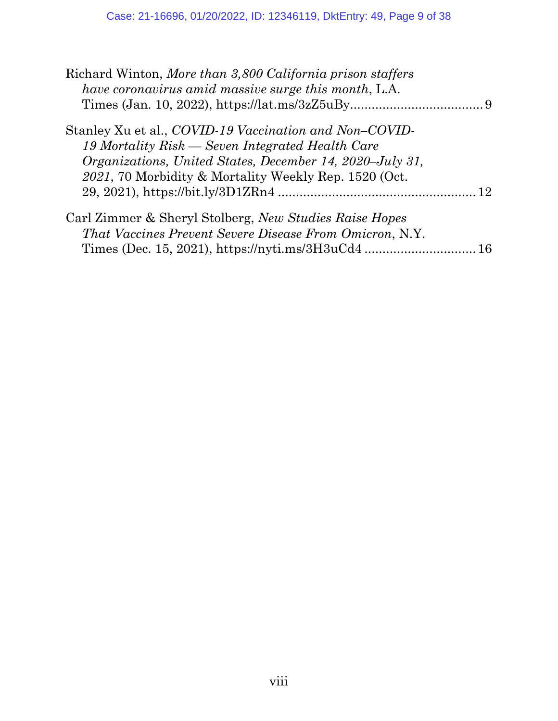| Richard Winton, More than 3,800 California prison staffers<br>have coronavirus amid massive surge this month, L.A. |  |
|--------------------------------------------------------------------------------------------------------------------|--|
|                                                                                                                    |  |
| Stanley Xu et al., COVID-19 Vaccination and Non-COVID-                                                             |  |
| 19 Mortality Risk — Seven Integrated Health Care                                                                   |  |
| <i>Organizations, United States, December 14, 2020–July 31,</i>                                                    |  |
| 2021, 70 Morbidity & Mortality Weekly Rep. 1520 (Oct.                                                              |  |
|                                                                                                                    |  |
| Carl Zimmer & Sheryl Stolberg, New Studies Raise Hopes                                                             |  |
| <i>That Vaccines Prevent Severe Disease From Omicron, N.Y.</i>                                                     |  |
|                                                                                                                    |  |
|                                                                                                                    |  |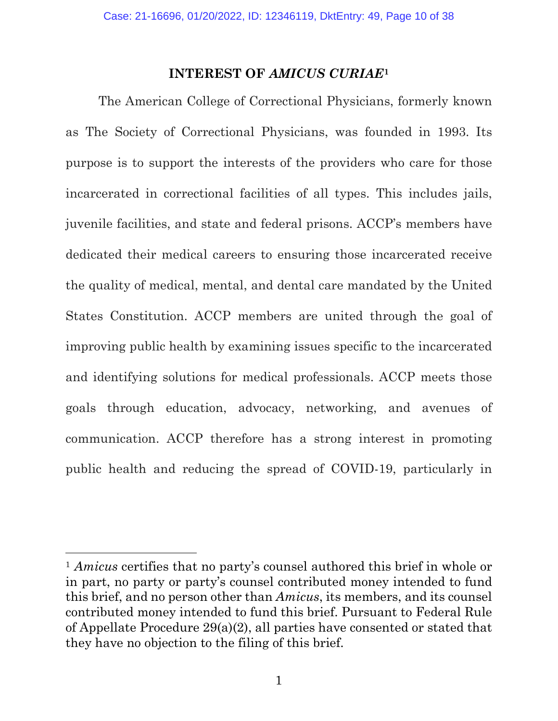#### **INTEREST OF** *AMICUS CURIAE***<sup>1</sup>**

The American College of Correctional Physicians, formerly known as The Society of Correctional Physicians, was founded in 1993. Its purpose is to support the interests of the providers who care for those incarcerated in correctional facilities of all types. This includes jails, juvenile facilities, and state and federal prisons. ACCP's members have dedicated their medical careers to ensuring those incarcerated receive the quality of medical, mental, and dental care mandated by the United States Constitution. ACCP members are united through the goal of improving public health by examining issues specific to the incarcerated and identifying solutions for medical professionals. ACCP meets those goals through education, advocacy, networking, and avenues of communication. ACCP therefore has a strong interest in promoting public health and reducing the spread of COVID-19, particularly in

<sup>1</sup> *Amicus* certifies that no party's counsel authored this brief in whole or in part, no party or party's counsel contributed money intended to fund this brief, and no person other than *Amicus*, its members, and its counsel contributed money intended to fund this brief. Pursuant to Federal Rule of Appellate Procedure 29(a)(2), all parties have consented or stated that they have no objection to the filing of this brief.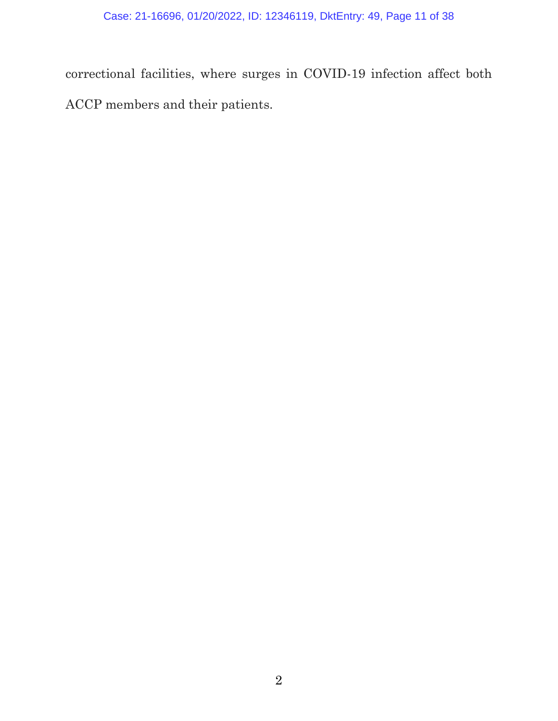correctional facilities, where surges in COVID-19 infection affect both ACCP members and their patients.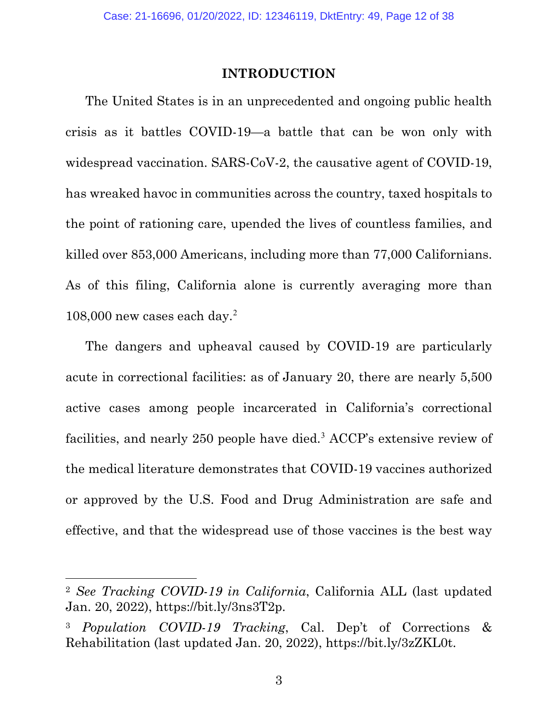#### **INTRODUCTION**

The United States is in an unprecedented and ongoing public health crisis as it battles COVID-19—a battle that can be won only with widespread vaccination. SARS-CoV-2, the causative agent of COVID-19, has wreaked havoc in communities across the country, taxed hospitals to the point of rationing care, upended the lives of countless families, and killed over 853,000 Americans, including more than 77,000 Californians. As of this filing, California alone is currently averaging more than 108,000 new cases each day.<sup>2</sup>

The dangers and upheaval caused by COVID-19 are particularly acute in correctional facilities: as of January 20, there are nearly 5,500 active cases among people incarcerated in California's correctional facilities, and nearly 250 people have died.<sup>3</sup> ACCP's extensive review of the medical literature demonstrates that COVID-19 vaccines authorized or approved by the U.S. Food and Drug Administration are safe and effective, and that the widespread use of those vaccines is the best way

3

<sup>2</sup> *See Tracking COVID-19 in California*, California ALL (last updated Jan. 20, 2022), https://bit.ly/3ns3T2p.

<sup>3</sup> *Population COVID-19 Tracking*, Cal. Dep't of Corrections & Rehabilitation (last updated Jan. 20, 2022), https://bit.ly/3zZKL0t.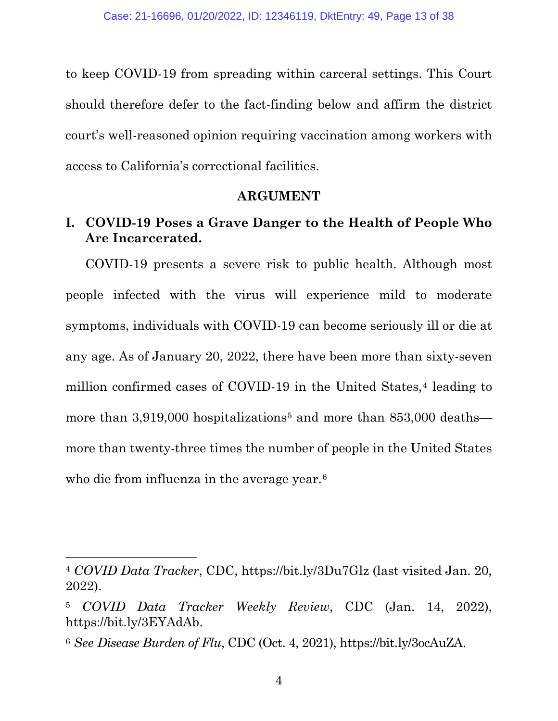to keep COVID-19 from spreading within carceral settings. This Court should therefore defer to the fact-finding below and affirm the district court's well-reasoned opinion requiring vaccination among workers with access to California's correctional facilities.

#### **ARGUMENT**

# **I. COVID-19 Poses a Grave Danger to the Health of People Who Are Incarcerated.**

COVID-19 presents a severe risk to public health. Although most people infected with the virus will experience mild to moderate symptoms, individuals with COVID-19 can become seriously ill or die at any age. As of January 20, 2022, there have been more than sixty-seven million confirmed cases of COVID-19 in the United States,<sup>4</sup> leading to more than  $3,919,000$  hospitalizations<sup>5</sup> and more than  $853,000$  deaths more than twenty-three times the number of people in the United States who die from influenza in the average year.<sup>6</sup>

<sup>4</sup> *COVID Data Tracker*, CDC, https://bit.ly/3Du7Glz (last visited Jan. 20, 2022).

<sup>5</sup> *COVID Data Tracker Weekly Review*, CDC (Jan. 14, 2022), https://bit.ly/3EYAdAb.

<sup>6</sup> *See Disease Burden of Flu*, CDC (Oct. 4, 2021), https://bit.ly/3ocAuZA.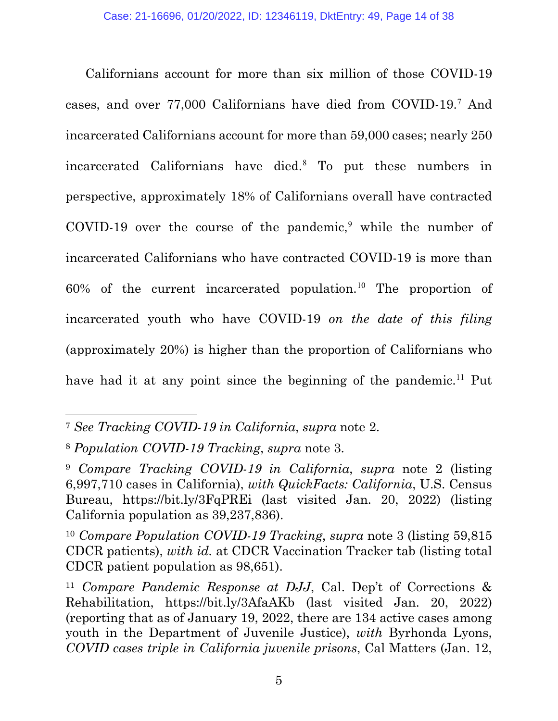Californians account for more than six million of those COVID-19 cases, and over 77,000 Californians have died from COVID-19. <sup>7</sup> And incarcerated Californians account for more than 59,000 cases; nearly 250 incarcerated Californians have died.<sup>8</sup> To put these numbers in perspective, approximately 18% of Californians overall have contracted COVID-19 over the course of the pandemic, <sup>9</sup> while the number of incarcerated Californians who have contracted COVID-19 is more than 60% of the current incarcerated population. <sup>10</sup> The proportion of incarcerated youth who have COVID-19 *on the date of this filing* (approximately 20%) is higher than the proportion of Californians who have had it at any point since the beginning of the pandemic.<sup>11</sup> Put

<sup>7</sup> *See Tracking COVID-19 in California*, *supra* note 2.

<sup>8</sup> *Population COVID-19 Tracking*, *supra* note 3.

<sup>9</sup> *Compare Tracking COVID-19 in California*, *supra* note 2 (listing 6,997,710 cases in California), *with QuickFacts: California*, U.S. Census Bureau, https://bit.ly/3FqPREi (last visited Jan. 20, 2022) (listing California population as 39,237,836).

<sup>10</sup> *Compare Population COVID-19 Tracking*, *supra* note 3 (listing 59,815 CDCR patients), *with id.* at CDCR Vaccination Tracker tab (listing total CDCR patient population as 98,651).

<sup>11</sup> *Compare Pandemic Response at DJJ*, Cal. Dep't of Corrections & Rehabilitation, https://bit.ly/3AfaAKb (last visited Jan. 20, 2022) (reporting that as of January 19, 2022, there are 134 active cases among youth in the Department of Juvenile Justice), *with* Byrhonda Lyons, *COVID cases triple in California juvenile prisons*, Cal Matters (Jan. 12,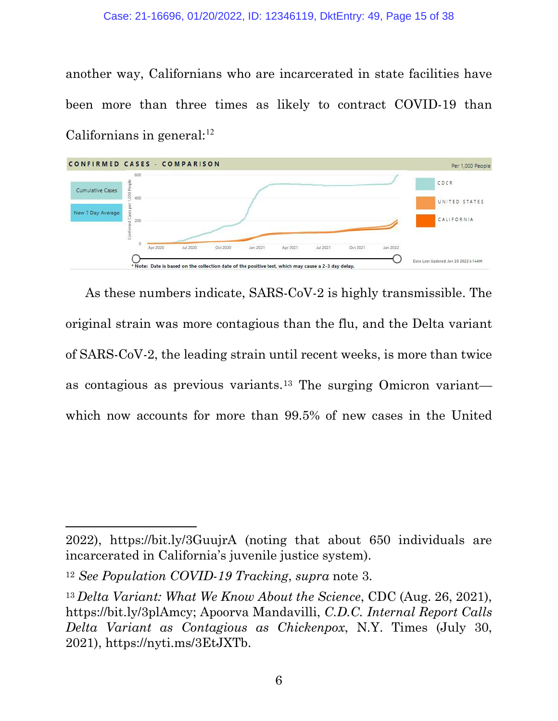another way, Californians who are incarcerated in state facilities have been more than three times as likely to contract COVID-19 than Californians in general: 12



As these numbers indicate, SARS-CoV-2 is highly transmissible. The original strain was more contagious than the flu, and the Delta variant of SARS-CoV-2, the leading strain until recent weeks, is more than twice as contagious as previous variants.13 The surging Omicron variant which now accounts for more than 99.5% of new cases in the United

<sup>2022),</sup> https://bit.ly/3GuujrA (noting that about 650 individuals are incarcerated in California's juvenile justice system).

<sup>12</sup> *See Population COVID-19 Tracking*, *supra* note 3.

<sup>13</sup> *Delta Variant: What We Know About the Science*, CDC (Aug. 26, 2021), https://bit.ly/3plAmcy; Apoorva Mandavilli, *C.D.C. Internal Report Calls Delta Variant as Contagious as Chickenpox*, N.Y. Times (July 30, 2021), https://nyti.ms/3EtJXTb.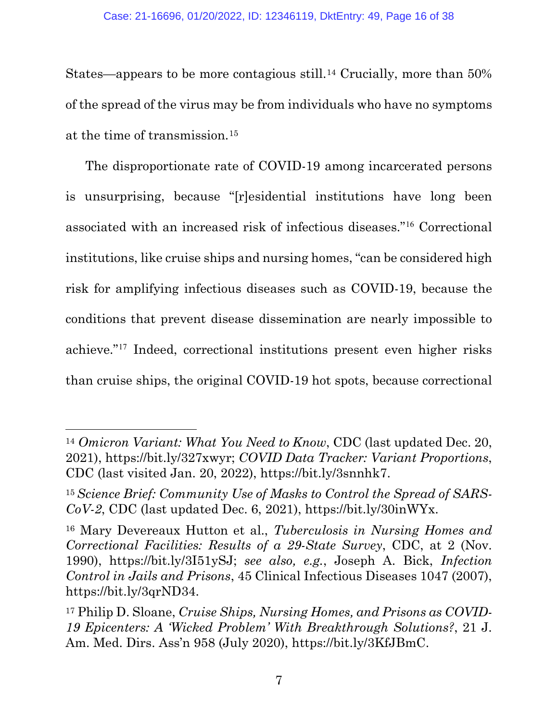States—appears to be more contagious still.14 Crucially, more than 50% of the spread of the virus may be from individuals who have no symptoms at the time of transmission.15

The disproportionate rate of COVID-19 among incarcerated persons is unsurprising, because "[r]esidential institutions have long been associated with an increased risk of infectious diseases."<sup>16</sup> Correctional institutions, like cruise ships and nursing homes, "can be considered high risk for amplifying infectious diseases such as COVID-19, because the conditions that prevent disease dissemination are nearly impossible to achieve."<sup>17</sup> Indeed, correctional institutions present even higher risks than cruise ships, the original COVID-19 hot spots, because correctional

<sup>14</sup> *Omicron Variant: What You Need to Know*, CDC (last updated Dec. 20, 2021), https://bit.ly/327xwyr; *COVID Data Tracker: Variant Proportions*, CDC (last visited Jan. 20, 2022), https://bit.ly/3snnhk7.

<sup>15</sup>*Science Brief: Community Use of Masks to Control the Spread of SARS-CoV-2*, CDC (last updated Dec. 6, 2021), https://bit.ly/30inWYx.

<sup>16</sup> Mary Devereaux Hutton et al., *Tuberculosis in Nursing Homes and Correctional Facilities: Results of a 29-State Survey*, CDC, at 2 (Nov. 1990), https://bit.ly/3I51ySJ; *see also, e.g.*, Joseph A. Bick, *Infection Control in Jails and Prisons*, 45 Clinical Infectious Diseases 1047 (2007), https://bit.ly/3qrND34.

<sup>17</sup> Philip D. Sloane, *Cruise Ships, Nursing Homes, and Prisons as COVID-19 Epicenters: A 'Wicked Problem' With Breakthrough Solutions?*, 21 J. Am. Med. Dirs. Ass'n 958 (July 2020), https://bit.ly/3KfJBmC.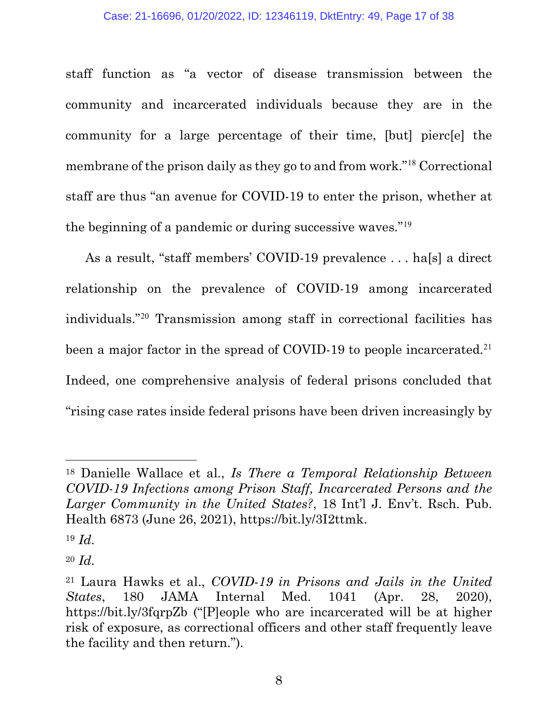staff function as "a vector of disease transmission between the community and incarcerated individuals because they are in the community for a large percentage of their time, [but] pierc[e] the membrane of the prison daily as they go to and from work."<sup>18</sup> Correctional staff are thus "an avenue for COVID-19 to enter the prison, whether at the beginning of a pandemic or during successive waves."<sup>19</sup>

As a result, "staff members' COVID-19 prevalence . . . ha[s] a direct relationship on the prevalence of COVID-19 among incarcerated individuals."<sup>20</sup> Transmission among staff in correctional facilities has been a major factor in the spread of COVID-19 to people incarcerated.<sup>21</sup> Indeed, one comprehensive analysis of federal prisons concluded that "rising case rates inside federal prisons have been driven increasingly by

<sup>18</sup> Danielle Wallace et al., *Is There a Temporal Relationship Between COVID-19 Infections among Prison Staff, Incarcerated Persons and the Larger Community in the United States?*, 18 Int'l J. Env't. Rsch. Pub. Health 6873 (June 26, 2021), https://bit.ly/3I2ttmk.

<sup>19</sup> *Id.*

<sup>20</sup> *Id.*

<sup>21</sup> Laura Hawks et al., *COVID-19 in Prisons and Jails in the United States*, 180 JAMA Internal Med. 1041 (Apr. 28, 2020), https://bit.ly/3fqrpZb ("[P]eople who are incarcerated will be at higher risk of exposure, as correctional officers and other staff frequently leave the facility and then return.").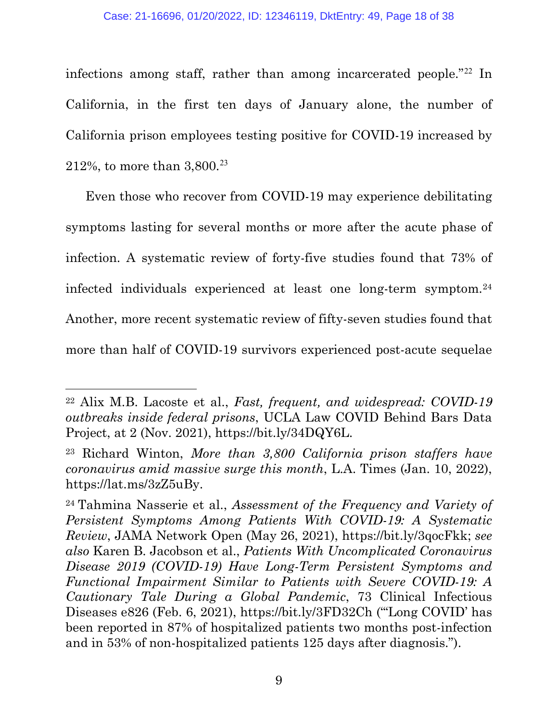infections among staff, rather than among incarcerated people."<sup>22</sup> In California, in the first ten days of January alone, the number of California prison employees testing positive for COVID-19 increased by 212%, to more than  $3,800.^{23}$ 

Even those who recover from COVID-19 may experience debilitating symptoms lasting for several months or more after the acute phase of infection. A systematic review of forty-five studies found that 73% of infected individuals experienced at least one long-term symptom.24 Another, more recent systematic review of fifty-seven studies found that more than half of COVID-19 survivors experienced post-acute sequelae

<sup>22</sup> Alix M.B. Lacoste et al., *Fast, frequent, and widespread: COVID-19 outbreaks inside federal prisons*, UCLA Law COVID Behind Bars Data Project, at 2 (Nov. 2021), https://bit.ly/34DQY6L.

<sup>23</sup> Richard Winton, *More than 3,800 California prison staffers have coronavirus amid massive surge this month*, L.A. Times (Jan. 10, 2022), https://lat.ms/3zZ5uBy.

<sup>24</sup> Tahmina Nasserie et al., *Assessment of the Frequency and Variety of Persistent Symptoms Among Patients With COVID-19: A Systematic Review*, JAMA Network Open (May 26, 2021), https://bit.ly/3qocFkk; *see also* Karen B. Jacobson et al., *Patients With Uncomplicated Coronavirus Disease 2019 (COVID-19) Have Long-Term Persistent Symptoms and Functional Impairment Similar to Patients with Severe COVID-19: A Cautionary Tale During a Global Pandemic*, 73 Clinical Infectious Diseases e826 (Feb. 6, 2021), https://bit.ly/3FD32Ch ("'Long COVID' has been reported in 87% of hospitalized patients two months post-infection and in 53% of non-hospitalized patients 125 days after diagnosis.").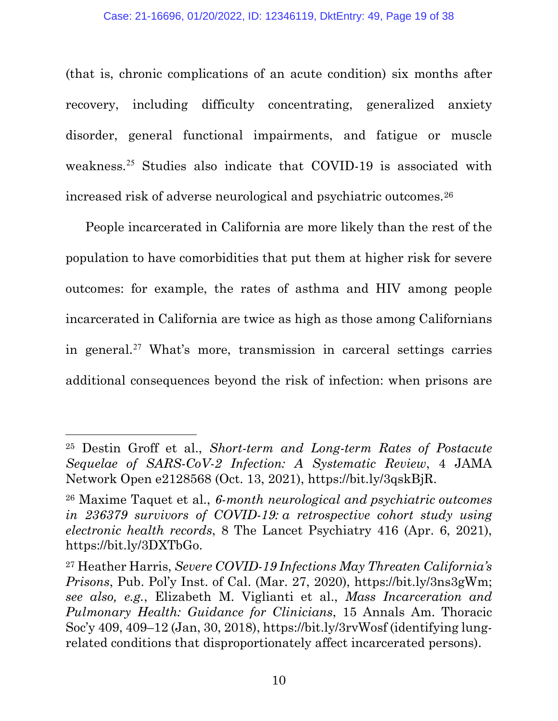(that is, chronic complications of an acute condition) six months after recovery, including difficulty concentrating, generalized anxiety disorder, general functional impairments, and fatigue or muscle weakness. <sup>25</sup> Studies also indicate that COVID-19 is associated with increased risk of adverse neurological and psychiatric outcomes.26

People incarcerated in California are more likely than the rest of the population to have comorbidities that put them at higher risk for severe outcomes: for example, the rates of asthma and HIV among people incarcerated in California are twice as high as those among Californians in general.<sup>27</sup> What's more, transmission in carceral settings carries additional consequences beyond the risk of infection: when prisons are

<sup>25</sup> Destin Groff et al., *Short-term and Long-term Rates of Postacute Sequelae of SARS-CoV-2 Infection: A Systematic Review*, 4 JAMA Network Open e2128568 (Oct. 13, 2021), https://bit.ly/3qskBjR.

<sup>26</sup> Maxime Taquet et al., *6-month neurological and psychiatric outcomes in 236379 survivors of COVID-19: a retrospective cohort study using electronic health records*, 8 The Lancet Psychiatry 416 (Apr. 6, 2021), https://bit.ly/3DXTbGo.

<sup>27</sup> Heather Harris, *Severe COVID-19 Infections May Threaten California's Prisons*, Pub. Pol'y Inst. of Cal. (Mar. 27, 2020), https://bit.ly/3ns3gWm; *see also, e.g.*, Elizabeth M. Viglianti et al., *Mass Incarceration and Pulmonary Health: Guidance for Clinicians*, 15 Annals Am. Thoracic Soc'y 409, 409–12 (Jan, 30, 2018), https://bit.ly/3rvWosf (identifying lungrelated conditions that disproportionately affect incarcerated persons).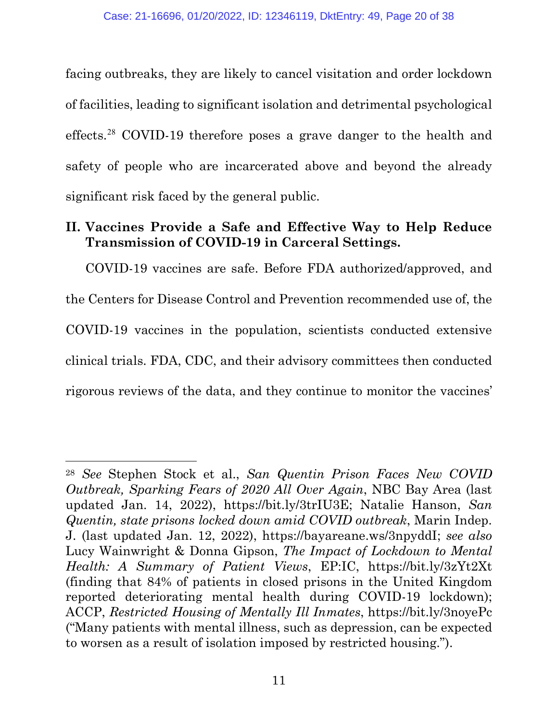facing outbreaks, they are likely to cancel visitation and order lockdown of facilities, leading to significant isolation and detrimental psychological effects.<sup>28</sup> COVID-19 therefore poses a grave danger to the health and safety of people who are incarcerated above and beyond the already significant risk faced by the general public.

# **II. Vaccines Provide a Safe and Effective Way to Help Reduce Transmission of COVID-19 in Carceral Settings.**

COVID-19 vaccines are safe. Before FDA authorized/approved, and the Centers for Disease Control and Prevention recommended use of, the COVID-19 vaccines in the population, scientists conducted extensive clinical trials. FDA, CDC, and their advisory committees then conducted rigorous reviews of the data, and they continue to monitor the vaccines'

<sup>28</sup> *See* Stephen Stock et al., *San Quentin Prison Faces New COVID Outbreak, Sparking Fears of 2020 All Over Again*, NBC Bay Area (last updated Jan. 14, 2022), https://bit.ly/3trIU3E; Natalie Hanson, *San Quentin, state prisons locked down amid COVID outbreak*, Marin Indep. J. (last updated Jan. 12, 2022), https://bayareane.ws/3npyddI; *see also* Lucy Wainwright & Donna Gipson, *The Impact of Lockdown to Mental Health: A Summary of Patient Views*, EP:IC, https://bit.ly/3zYt2Xt (finding that 84% of patients in closed prisons in the United Kingdom reported deteriorating mental health during COVID-19 lockdown); ACCP, *Restricted Housing of Mentally Ill Inmates*, https://bit.ly/3noyePc ("Many patients with mental illness, such as depression, can be expected to worsen as a result of isolation imposed by restricted housing.").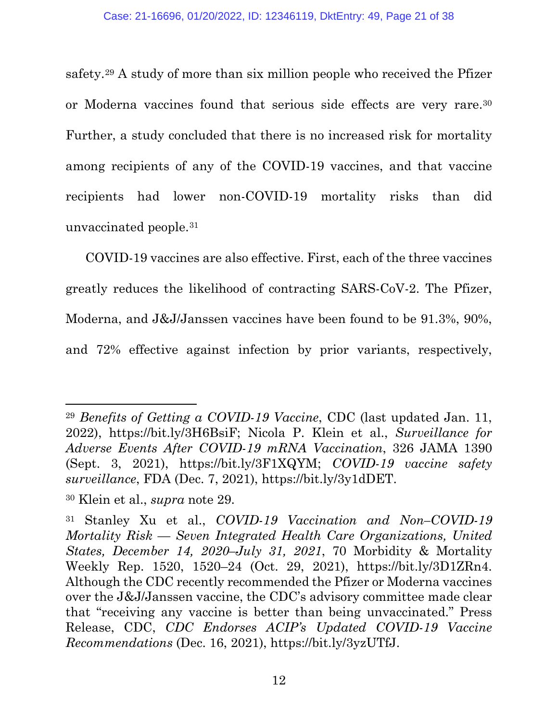safety.29 A study of more than six million people who received the Pfizer or Moderna vaccines found that serious side effects are very rare.30 Further, a study concluded that there is no increased risk for mortality among recipients of any of the COVID-19 vaccines, and that vaccine recipients had lower non-COVID-19 mortality risks than did unvaccinated people.31

COVID-19 vaccines are also effective. First, each of the three vaccines greatly reduces the likelihood of contracting SARS-CoV-2. The Pfizer, Moderna, and J&J/Janssen vaccines have been found to be 91.3%, 90%, and 72% effective against infection by prior variants, respectively,

<sup>29</sup> *Benefits of Getting a COVID-19 Vaccine*, CDC (last updated Jan. 11, 2022), https://bit.ly/3H6BsiF; Nicola P. Klein et al., *Surveillance for Adverse Events After COVID-19 mRNA Vaccination*, 326 JAMA 1390 (Sept. 3, 2021), https://bit.ly/3F1XQYM; *COVID-19 vaccine safety surveillance*, FDA (Dec. 7, 2021), https://bit.ly/3y1dDET.

<sup>30</sup> Klein et al., *supra* note 29.

<sup>31</sup> Stanley Xu et al., *COVID-19 Vaccination and Non–COVID-19 Mortality Risk — Seven Integrated Health Care Organizations, United States, December 14, 2020–July 31, 2021*, 70 Morbidity & Mortality Weekly Rep. 1520, 1520–24 (Oct. 29, 2021), https://bit.ly/3D1ZRn4. Although the CDC recently recommended the Pfizer or Moderna vaccines over the J&J/Janssen vaccine, the CDC's advisory committee made clear that "receiving any vaccine is better than being unvaccinated." Press Release, CDC, *CDC Endorses ACIP's Updated COVID-19 Vaccine Recommendations* (Dec. 16, 2021), https://bit.ly/3yzUTfJ.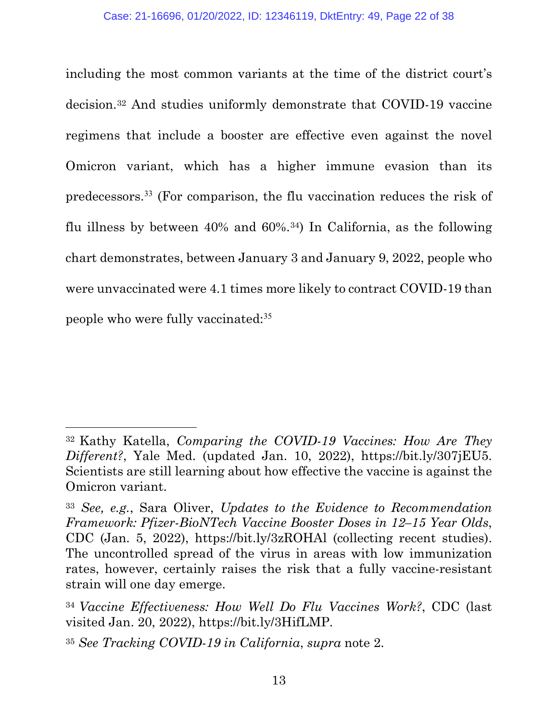including the most common variants at the time of the district court's decision.32 And studies uniformly demonstrate that COVID-19 vaccine regimens that include a booster are effective even against the novel Omicron variant, which has a higher immune evasion than its predecessors.<sup>33</sup> (For comparison, the flu vaccination reduces the risk of flu illness by between 40% and 60%.34) In California, as the following chart demonstrates, between January 3 and January 9, 2022, people who were unvaccinated were 4.1 times more likely to contract COVID-19 than people who were fully vaccinated:<sup>35</sup>

<sup>32</sup> Kathy Katella, *Comparing the COVID-19 Vaccines: How Are They Different?*, Yale Med. (updated Jan. 10, 2022), https://bit.ly/307jEU5. Scientists are still learning about how effective the vaccine is against the Omicron variant.

<sup>33</sup> *See, e.g.*, Sara Oliver, *Updates to the Evidence to Recommendation Framework: Pfizer-BioNTech Vaccine Booster Doses in 12–15 Year Olds*, CDC (Jan. 5, 2022), https://bit.ly/3zROHAl (collecting recent studies). The uncontrolled spread of the virus in areas with low immunization rates, however, certainly raises the risk that a fully vaccine-resistant strain will one day emerge.

<sup>34</sup> *Vaccine Effectiveness: How Well Do Flu Vaccines Work?*, CDC (last visited Jan. 20, 2022), https://bit.ly/3HifLMP.

<sup>35</sup> *See Tracking COVID-19 in California*, *supra* note 2.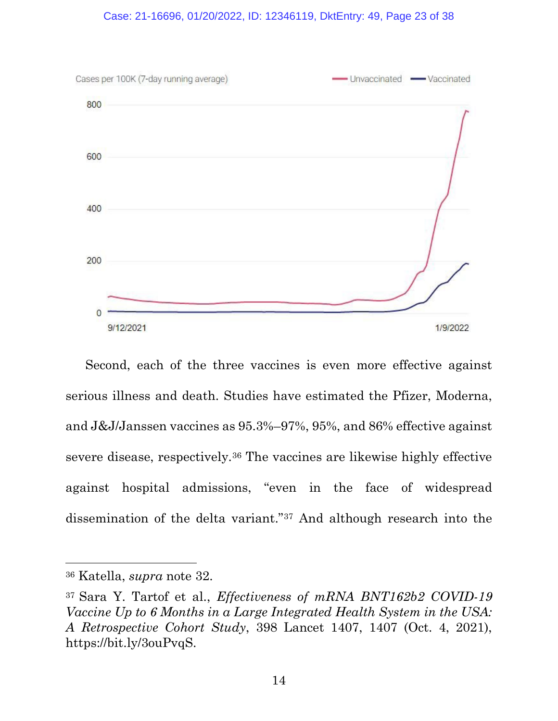#### Case: 21-16696, 01/20/2022, ID: 12346119, DktEntry: 49, Page 23 of 38



Second, each of the three vaccines is even more effective against serious illness and death. Studies have estimated the Pfizer, Moderna, and J&J/Janssen vaccines as 95.3%–97%, 95%, and 86% effective against severe disease, respectively.36 The vaccines are likewise highly effective against hospital admissions, "even in the face of widespread dissemination of the delta variant."37 And although research into the

<sup>36</sup> Katella, *supra* note 32.

<sup>37</sup> Sara Y. Tartof et al., *Effectiveness of mRNA BNT162b2 COVID-19 Vaccine Up to 6 Months in a Large Integrated Health System in the USA: A Retrospective Cohort Study*, 398 Lancet 1407, 1407 (Oct. 4, 2021), https://bit.ly/3ouPvqS.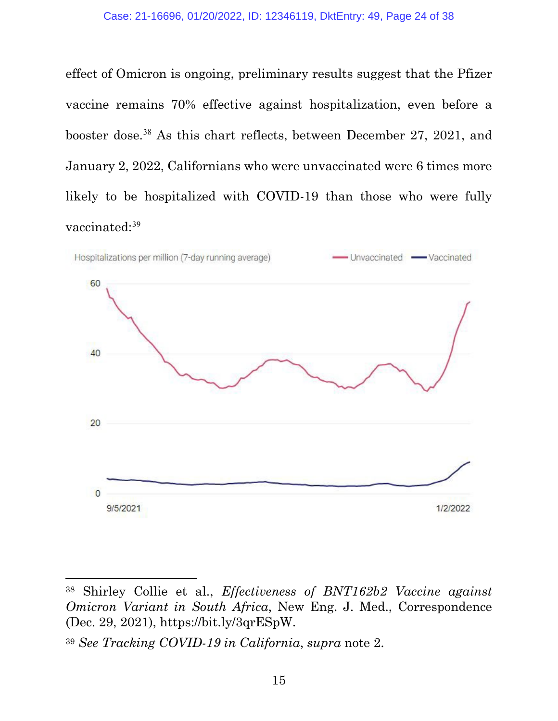effect of Omicron is ongoing, preliminary results suggest that the Pfizer vaccine remains 70% effective against hospitalization, even before a booster dose.<sup>38</sup> As this chart reflects, between December 27, 2021, and January 2, 2022, Californians who were unvaccinated were 6 times more likely to be hospitalized with COVID-19 than those who were fully vaccinated:<sup>39</sup>



<sup>38</sup> Shirley Collie et al., *Effectiveness of BNT162b2 Vaccine against Omicron Variant in South Africa*, New Eng. J. Med., Correspondence (Dec. 29, 2021), https://bit.ly/3qrESpW.

<sup>39</sup> *See Tracking COVID-19 in California*, *supra* note 2.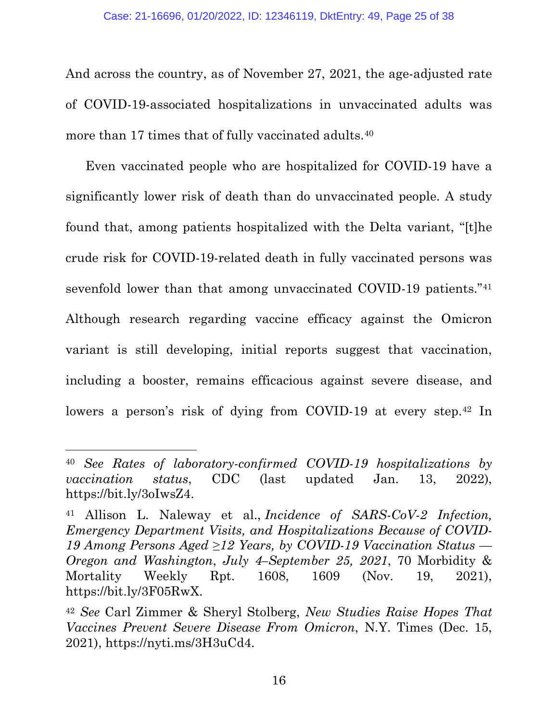And across the country, as of November 27, 2021, the age-adjusted rate of COVID-19-associated hospitalizations in unvaccinated adults was more than 17 times that of fully vaccinated adults.<sup>40</sup>

Even vaccinated people who are hospitalized for COVID-19 have a significantly lower risk of death than do unvaccinated people. A study found that, among patients hospitalized with the Delta variant, "[t]he crude risk for COVID-19-related death in fully vaccinated persons was sevenfold lower than that among unvaccinated COVID-19 patients."<sup>41</sup> Although research regarding vaccine efficacy against the Omicron variant is still developing, initial reports suggest that vaccination, including a booster, remains efficacious against severe disease, and lowers a person's risk of dying from COVID-19 at every step.<sup>42</sup> In

<sup>40</sup> *See Rates of laboratory-confirmed COVID-19 hospitalizations by vaccination status*, CDC (last updated Jan. 13, 2022), https://bit.ly/3oIwsZ4.

<sup>41</sup> Allison L. Naleway et al., *Incidence of SARS-CoV-2 Infection, Emergency Department Visits, and Hospitalizations Because of COVID-19 Among Persons Aged ≥12 Years, by COVID-19 Vaccination Status — Oregon and Washington*, *July 4–September 25, 2021*, 70 Morbidity & Mortality Weekly Rpt. 1608, 1609 (Nov. 19, 2021), https://bit.ly/3F05RwX.

<sup>42</sup> *See* Carl Zimmer & Sheryl Stolberg, *New Studies Raise Hopes That Vaccines Prevent Severe Disease From Omicron*, N.Y. Times (Dec. 15, 2021), https://nyti.ms/3H3uCd4.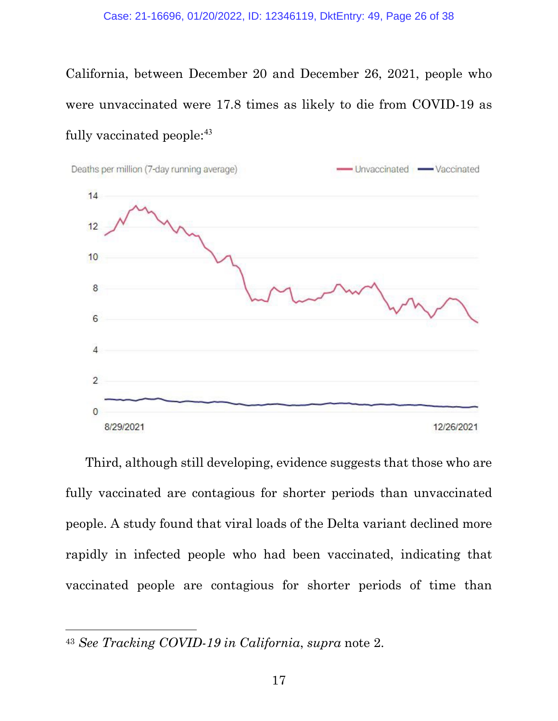California, between December 20 and December 26, 2021, people who were unvaccinated were 17.8 times as likely to die from COVID-19 as fully vaccinated people:<sup>43</sup>



Third, although still developing, evidence suggests that those who are fully vaccinated are contagious for shorter periods than unvaccinated people. A study found that viral loads of the Delta variant declined more rapidly in infected people who had been vaccinated, indicating that vaccinated people are contagious for shorter periods of time than

<sup>43</sup> *See Tracking COVID-19 in California*, *supra* note 2.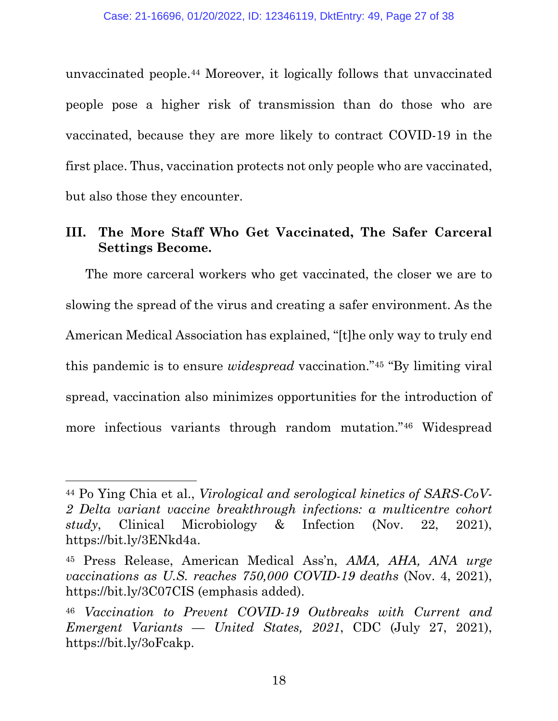unvaccinated people.44 Moreover, it logically follows that unvaccinated people pose a higher risk of transmission than do those who are vaccinated, because they are more likely to contract COVID-19 in the first place. Thus, vaccination protects not only people who are vaccinated, but also those they encounter.

## **III. The More Staff Who Get Vaccinated, The Safer Carceral Settings Become.**

The more carceral workers who get vaccinated, the closer we are to slowing the spread of the virus and creating a safer environment. As the American Medical Association has explained, "[t]he only way to truly end this pandemic is to ensure *widespread* vaccination."45 "By limiting viral spread, vaccination also minimizes opportunities for the introduction of more infectious variants through random mutation."46 Widespread

<sup>44</sup> Po Ying Chia et al., *Virological and serological kinetics of SARS-CoV-2 Delta variant vaccine breakthrough infections: a multicentre cohort study*, Clinical Microbiology & Infection (Nov. 22, 2021), https://bit.ly/3ENkd4a.

<sup>45</sup> Press Release, American Medical Ass'n, *AMA, AHA, ANA urge vaccinations as U.S. reaches 750,000 COVID-19 deaths* (Nov. 4, 2021), https://bit.ly/3C07CIS (emphasis added).

<sup>46</sup> *Vaccination to Prevent COVID-19 Outbreaks with Current and Emergent Variants — United States, 2021*, CDC (July 27, 2021), https://bit.ly/3oFcakp.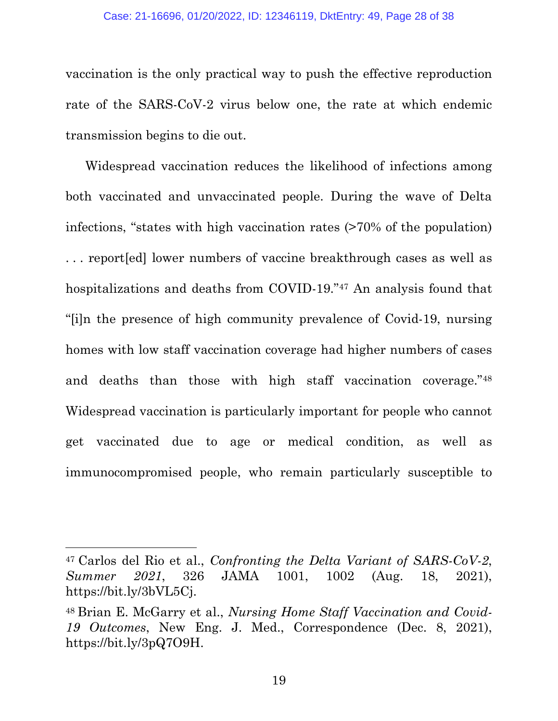#### Case: 21-16696, 01/20/2022, ID: 12346119, DktEntry: 49, Page 28 of 38

vaccination is the only practical way to push the effective reproduction rate of the SARS-CoV-2 virus below one, the rate at which endemic transmission begins to die out.

Widespread vaccination reduces the likelihood of infections among both vaccinated and unvaccinated people. During the wave of Delta infections, "states with high vaccination rates (>70% of the population) . . . report[ed] lower numbers of vaccine breakthrough cases as well as hospitalizations and deaths from COVID-19."47 An analysis found that "[i]n the presence of high community prevalence of Covid-19, nursing homes with low staff vaccination coverage had higher numbers of cases and deaths than those with high staff vaccination coverage."48 Widespread vaccination is particularly important for people who cannot get vaccinated due to age or medical condition, as well as immunocompromised people, who remain particularly susceptible to

19

<sup>47</sup> Carlos del Rio et al., *Confronting the Delta Variant of SARS-CoV-2*, *Summer 2021*, 326 JAMA 1001, 1002 (Aug. 18, 2021), https://bit.ly/3bVL5Cj.

<sup>48</sup> Brian E. McGarry et al., *Nursing Home Staff Vaccination and Covid-19 Outcomes*, New Eng. J. Med., Correspondence (Dec. 8, 2021), https://bit.ly/3pQ7O9H.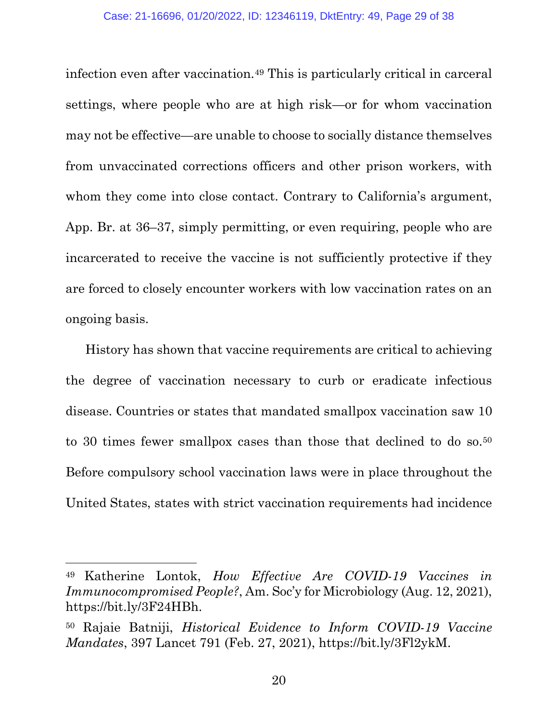infection even after vaccination.49 This is particularly critical in carceral settings, where people who are at high risk—or for whom vaccination may not be effective—are unable to choose to socially distance themselves from unvaccinated corrections officers and other prison workers, with whom they come into close contact. Contrary to California's argument, App. Br. at 36–37, simply permitting, or even requiring, people who are incarcerated to receive the vaccine is not sufficiently protective if they are forced to closely encounter workers with low vaccination rates on an ongoing basis.

History has shown that vaccine requirements are critical to achieving the degree of vaccination necessary to curb or eradicate infectious disease. Countries or states that mandated smallpox vaccination saw 10 to 30 times fewer smallpox cases than those that declined to do so.<sup>50</sup> Before compulsory school vaccination laws were in place throughout the United States, states with strict vaccination requirements had incidence

<sup>49</sup> Katherine Lontok, *How Effective Are COVID-19 Vaccines in Immunocompromised People?*, Am. Soc'y for Microbiology (Aug. 12, 2021), https://bit.ly/3F24HBh.

<sup>50</sup> Rajaie Batniji, *Historical Evidence to Inform COVID-19 Vaccine Mandates*, 397 Lancet 791 (Feb. 27, 2021), https://bit.ly/3Fl2ykM.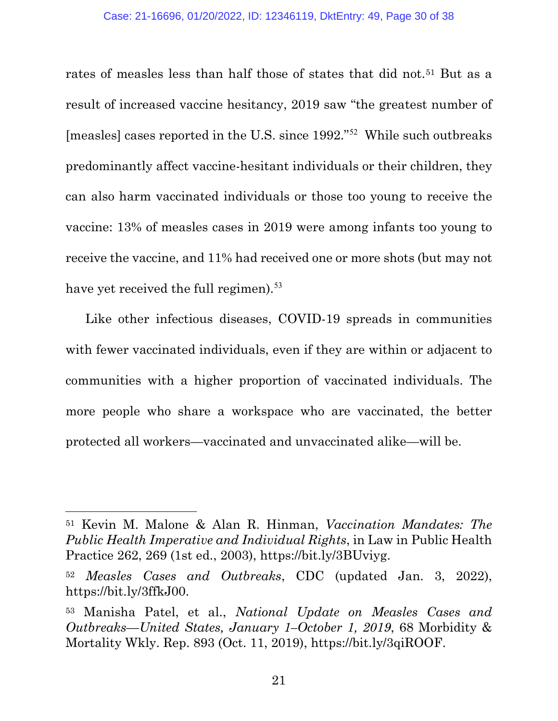rates of measles less than half those of states that did not.<sup>51</sup> But as a result of increased vaccine hesitancy, 2019 saw "the greatest number of [measles] cases reported in the U.S. since 1992."<sup>52</sup> While such outbreaks predominantly affect vaccine-hesitant individuals or their children, they can also harm vaccinated individuals or those too young to receive the vaccine: 13% of measles cases in 2019 were among infants too young to receive the vaccine, and 11% had received one or more shots (but may not have yet received the full regimen).<sup>53</sup>

Like other infectious diseases, COVID-19 spreads in communities with fewer vaccinated individuals, even if they are within or adjacent to communities with a higher proportion of vaccinated individuals. The more people who share a workspace who are vaccinated, the better protected all workers—vaccinated and unvaccinated alike—will be.

<sup>51</sup> Kevin M. Malone & Alan R. Hinman, *Vaccination Mandates: The Public Health Imperative and Individual Rights*, in Law in Public Health Practice 262, 269 (1st ed., 2003), https://bit.ly/3BUviyg.

<sup>52</sup> *Measles Cases and Outbreaks*, CDC (updated Jan. 3, 2022), https://bit.ly/3ffkJ00.

<sup>53</sup> Manisha Patel, et al., *National Update on Measles Cases and Outbreaks—United States, January 1–October 1, 2019*, 68 Morbidity & Mortality Wkly. Rep. 893 (Oct. 11, 2019), https://bit.ly/3qiROOF.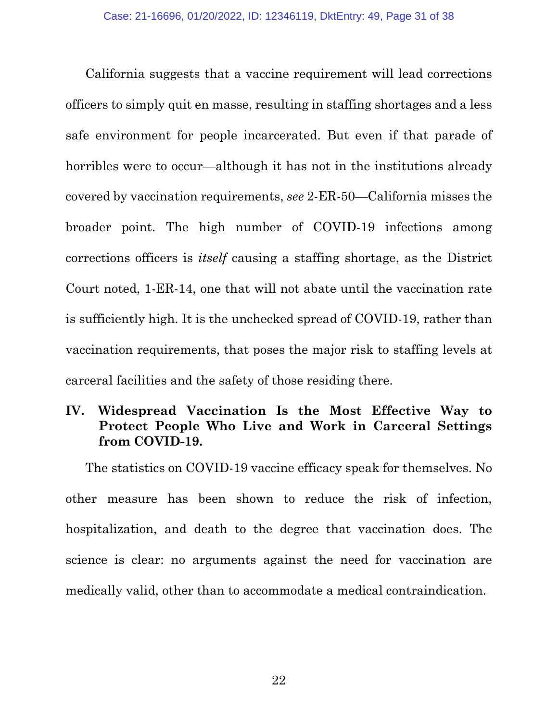California suggests that a vaccine requirement will lead corrections officers to simply quit en masse, resulting in staffing shortages and a less safe environment for people incarcerated. But even if that parade of horribles were to occur—although it has not in the institutions already covered by vaccination requirements, *see* 2-ER-50—California misses the broader point. The high number of COVID-19 infections among corrections officers is *itself* causing a staffing shortage, as the District Court noted, 1-ER-14, one that will not abate until the vaccination rate is sufficiently high. It is the unchecked spread of COVID-19, rather than vaccination requirements, that poses the major risk to staffing levels at carceral facilities and the safety of those residing there.

# **IV. Widespread Vaccination Is the Most Effective Way to Protect People Who Live and Work in Carceral Settings from COVID-19.**

The statistics on COVID-19 vaccine efficacy speak for themselves. No other measure has been shown to reduce the risk of infection, hospitalization, and death to the degree that vaccination does. The science is clear: no arguments against the need for vaccination are medically valid, other than to accommodate a medical contraindication.

22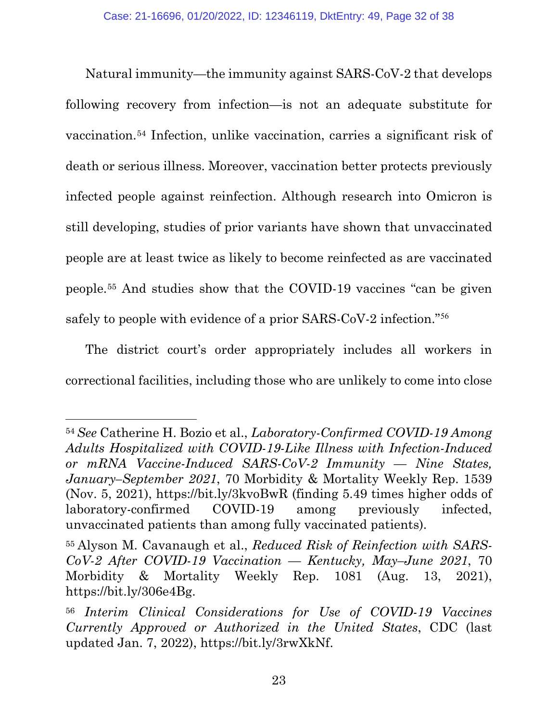Natural immunity—the immunity against SARS-CoV-2 that develops following recovery from infection—is not an adequate substitute for vaccination.54 Infection, unlike vaccination, carries a significant risk of death or serious illness. Moreover, vaccination better protects previously infected people against reinfection. Although research into Omicron is still developing, studies of prior variants have shown that unvaccinated people are at least twice as likely to become reinfected as are vaccinated people.55 And studies show that the COVID-19 vaccines "can be given safely to people with evidence of a prior SARS-CoV-2 infection."<sup>56</sup>

The district court's order appropriately includes all workers in correctional facilities, including those who are unlikely to come into close

<sup>54</sup>*See* Catherine H. Bozio et al., *Laboratory-Confirmed COVID-19 Among Adults Hospitalized with COVID-19-Like Illness with Infection-Induced or mRNA Vaccine-Induced SARS-CoV-2 Immunity — Nine States, January–September 2021*, 70 Morbidity & Mortality Weekly Rep. 1539 (Nov. 5, 2021), https://bit.ly/3kvoBwR (finding 5.49 times higher odds of laboratory-confirmed COVID-19 among previously infected, unvaccinated patients than among fully vaccinated patients).

<sup>55</sup> Alyson M. Cavanaugh et al., *Reduced Risk of Reinfection with SARS-CoV-2 After COVID-19 Vaccination — Kentucky, May–June 2021*, 70 Morbidity & Mortality Weekly Rep. 1081 (Aug. 13, 2021), https://bit.ly/306e4Bg.

<sup>56</sup> *Interim Clinical Considerations for Use of COVID-19 Vaccines Currently Approved or Authorized in the United States*, CDC (last updated Jan. 7, 2022), https://bit.ly/3rwXkNf.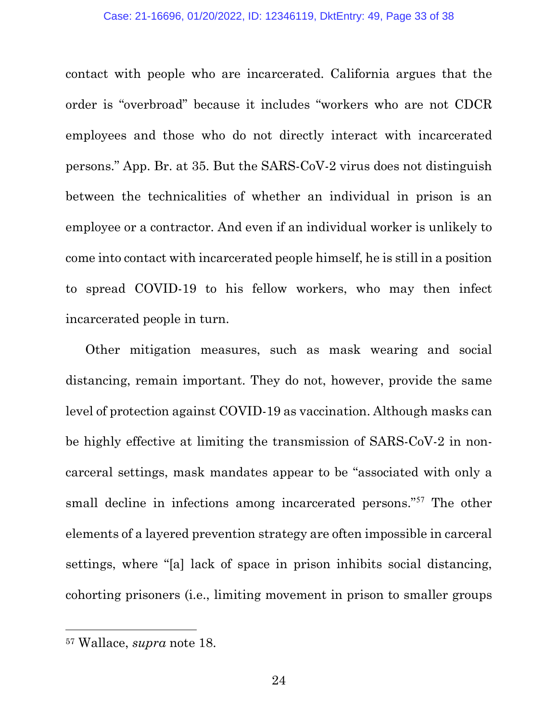contact with people who are incarcerated. California argues that the order is "overbroad" because it includes "workers who are not CDCR employees and those who do not directly interact with incarcerated persons." App. Br. at 35. But the SARS-CoV-2 virus does not distinguish between the technicalities of whether an individual in prison is an employee or a contractor. And even if an individual worker is unlikely to come into contact with incarcerated people himself, he is still in a position to spread COVID-19 to his fellow workers, who may then infect incarcerated people in turn.

Other mitigation measures, such as mask wearing and social distancing, remain important. They do not, however, provide the same level of protection against COVID-19 as vaccination. Although masks can be highly effective at limiting the transmission of SARS-CoV-2 in noncarceral settings, mask mandates appear to be "associated with only a small decline in infections among incarcerated persons."<sup>57</sup> The other elements of a layered prevention strategy are often impossible in carceral settings, where "[a] lack of space in prison inhibits social distancing, cohorting prisoners (i.e., limiting movement in prison to smaller groups

<sup>57</sup> Wallace, *supra* note 18.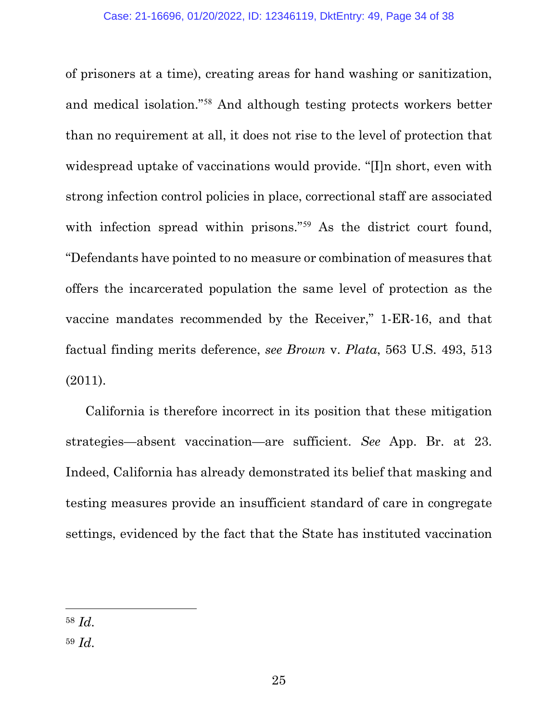of prisoners at a time), creating areas for hand washing or sanitization, and medical isolation."<sup>58</sup> And although testing protects workers better than no requirement at all, it does not rise to the level of protection that widespread uptake of vaccinations would provide. "[I]n short, even with strong infection control policies in place, correctional staff are associated with infection spread within prisons."<sup>59</sup> As the district court found, "Defendants have pointed to no measure or combination of measures that offers the incarcerated population the same level of protection as the vaccine mandates recommended by the Receiver," 1-ER-16, and that factual finding merits deference, *see Brown* v. *Plata*, 563 U.S. 493, 513 (2011).

California is therefore incorrect in its position that these mitigation strategies—absent vaccination—are sufficient. *See* App. Br. at 23. Indeed, California has already demonstrated its belief that masking and testing measures provide an insufficient standard of care in congregate settings, evidenced by the fact that the State has instituted vaccination

<sup>58</sup> *Id.*

<sup>59</sup> *Id.*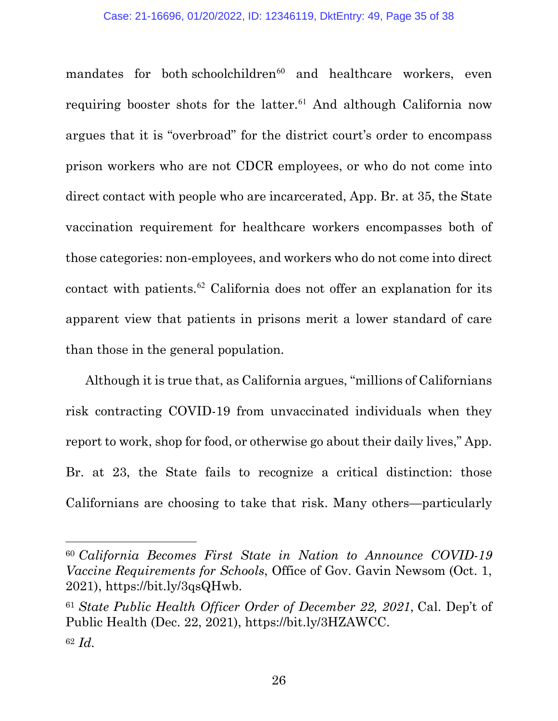mandates for both schoolchildren<sup>60</sup> and healthcare workers, even requiring booster shots for the latter.<sup>61</sup> And although California now argues that it is "overbroad" for the district court's order to encompass prison workers who are not CDCR employees, or who do not come into direct contact with people who are incarcerated, App. Br. at 35, the State vaccination requirement for healthcare workers encompasses both of those categories: non-employees, and workers who do not come into direct contact with patients. <sup>62</sup> California does not offer an explanation for its apparent view that patients in prisons merit a lower standard of care than those in the general population.

Although it is true that, as California argues, "millions of Californians risk contracting COVID-19 from unvaccinated individuals when they report to work, shop for food, or otherwise go about their daily lives," App. Br. at 23, the State fails to recognize a critical distinction: those Californians are choosing to take that risk. Many others—particularly

<sup>60</sup> *California Becomes First State in Nation to Announce COVID-19 Vaccine Requirements for Schools*, Office of Gov. Gavin Newsom (Oct. 1, 2021), https://bit.ly/3qsQHwb.

<sup>61</sup> *State Public Health Officer Order of December 22, 2021*, Cal. Dep't of Public Health (Dec. 22, 2021), https://bit.ly/3HZAWCC. <sup>62</sup> *Id.*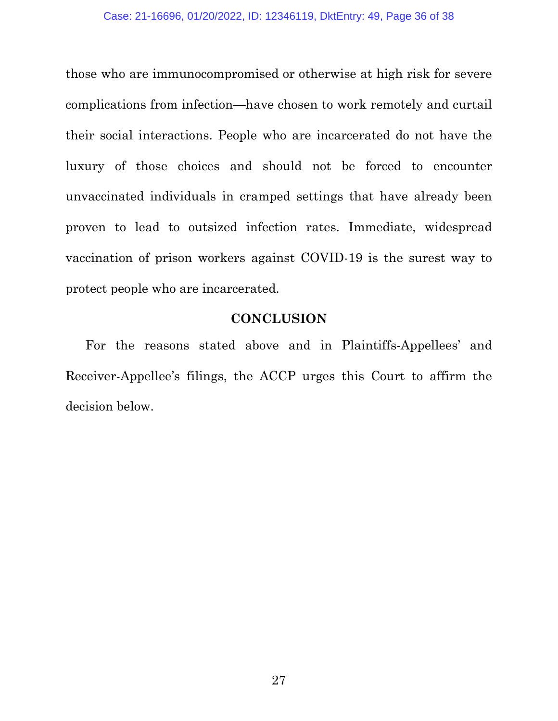those who are immunocompromised or otherwise at high risk for severe complications from infection—have chosen to work remotely and curtail their social interactions. People who are incarcerated do not have the luxury of those choices and should not be forced to encounter unvaccinated individuals in cramped settings that have already been proven to lead to outsized infection rates. Immediate, widespread vaccination of prison workers against COVID-19 is the surest way to protect people who are incarcerated.

#### **CONCLUSION**

For the reasons stated above and in Plaintiffs-Appellees' and Receiver-Appellee's filings, the ACCP urges this Court to affirm the decision below.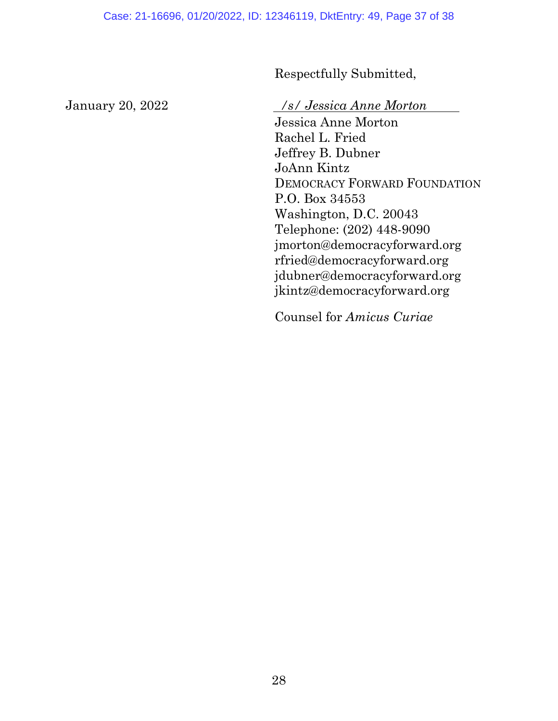Respectfully Submitted,

January 20, 2022 */s/ Jessica Anne Morton*

Jessica Anne Morton Rachel L. Fried Jeffrey B. Dubner JoAnn Kintz DEMOCRACY FORWARD FOUNDATION P.O. Box 34553 Washington, D.C. 20043 Telephone: (202) 448-9090 jmorton@democracyforward.org rfried@democracyforward.org jdubner@democracyforward.org jkintz@democracyforward.org

Counsel for *Amicus Curiae*